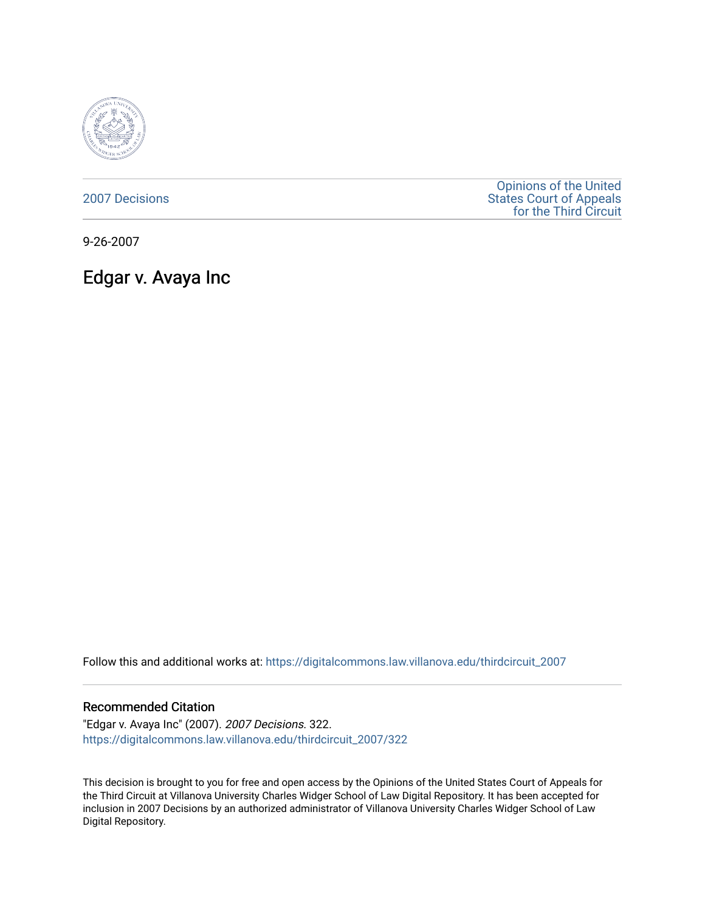

[2007 Decisions](https://digitalcommons.law.villanova.edu/thirdcircuit_2007)

[Opinions of the United](https://digitalcommons.law.villanova.edu/thirdcircuit)  [States Court of Appeals](https://digitalcommons.law.villanova.edu/thirdcircuit)  [for the Third Circuit](https://digitalcommons.law.villanova.edu/thirdcircuit) 

9-26-2007

# Edgar v. Avaya Inc

Follow this and additional works at: [https://digitalcommons.law.villanova.edu/thirdcircuit\\_2007](https://digitalcommons.law.villanova.edu/thirdcircuit_2007?utm_source=digitalcommons.law.villanova.edu%2Fthirdcircuit_2007%2F322&utm_medium=PDF&utm_campaign=PDFCoverPages) 

#### Recommended Citation

"Edgar v. Avaya Inc" (2007). 2007 Decisions. 322. [https://digitalcommons.law.villanova.edu/thirdcircuit\\_2007/322](https://digitalcommons.law.villanova.edu/thirdcircuit_2007/322?utm_source=digitalcommons.law.villanova.edu%2Fthirdcircuit_2007%2F322&utm_medium=PDF&utm_campaign=PDFCoverPages)

This decision is brought to you for free and open access by the Opinions of the United States Court of Appeals for the Third Circuit at Villanova University Charles Widger School of Law Digital Repository. It has been accepted for inclusion in 2007 Decisions by an authorized administrator of Villanova University Charles Widger School of Law Digital Repository.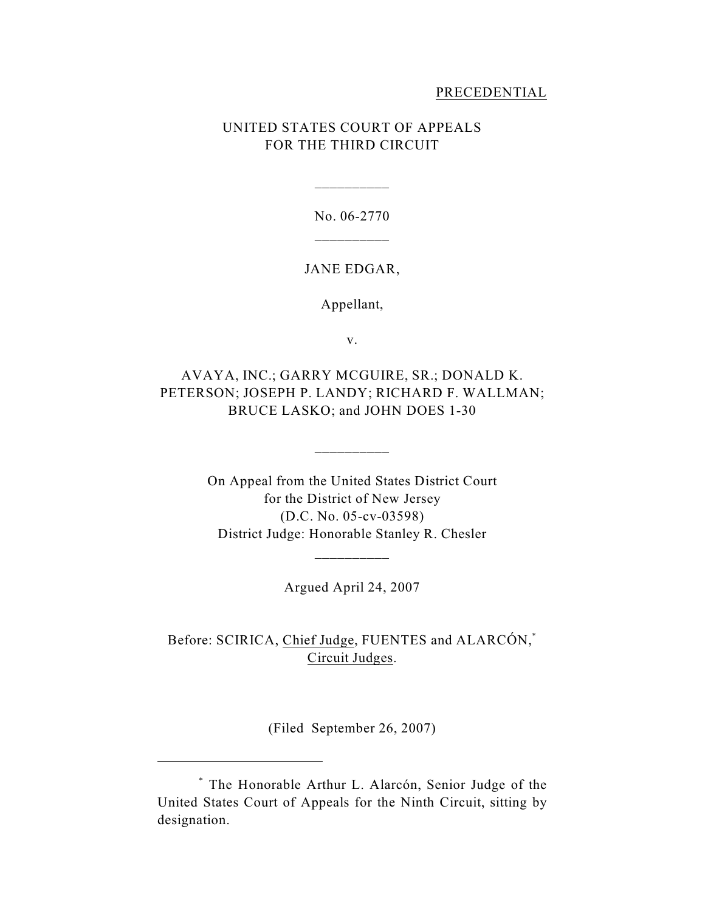### PRECEDENTIAL

# UNITED STATES COURT OF APPEALS FOR THE THIRD CIRCUIT

No. 06-2770 \_\_\_\_\_\_\_\_\_\_

\_\_\_\_\_\_\_\_\_\_

#### JANE EDGAR,

Appellant,

v.

AVAYA, INC.; GARRY MCGUIRE, SR.; DONALD K. PETERSON; JOSEPH P. LANDY; RICHARD F. WALLMAN; BRUCE LASKO; and JOHN DOES 1-30

\_\_\_\_\_\_\_\_\_\_

On Appeal from the United States District Court for the District of New Jersey (D.C. No. 05-cv-03598) District Judge: Honorable Stanley R. Chesler

Argued April 24, 2007

\_\_\_\_\_\_\_\_\_\_

Before: SCIRICA, <u>Chief Judge</u>, FUENTES and ALARCÓN, $^*$ Circuit Judges.

(Filed September 26, 2007)

The Honorable Arthur L. Alarcón, Senior Judge of the \* United States Court of Appeals for the Ninth Circuit, sitting by designation.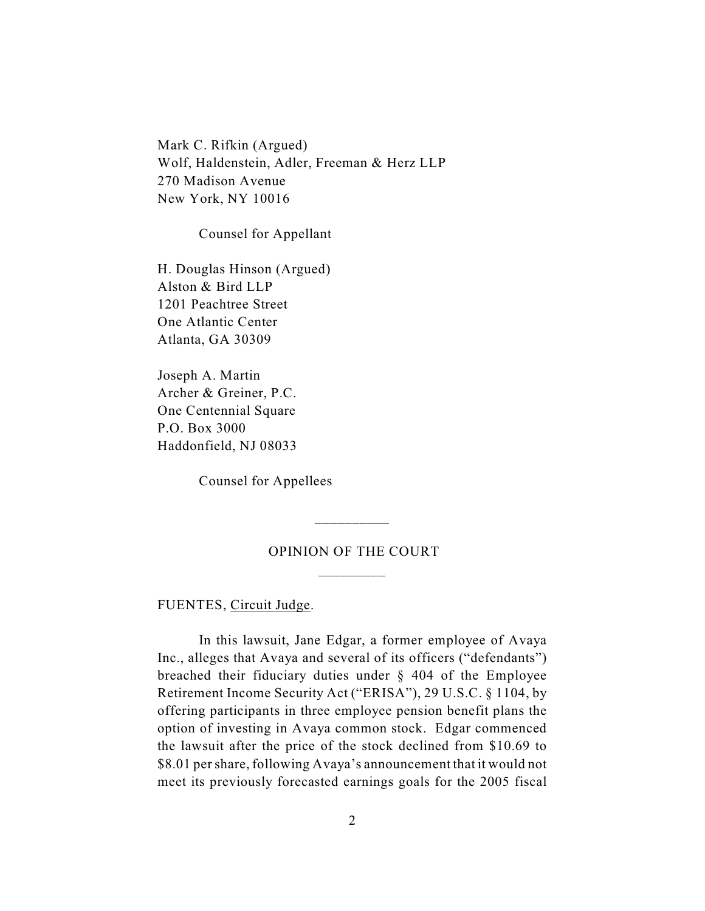Mark C. Rifkin (Argued) Wolf, Haldenstein, Adler, Freeman & Herz LLP 270 Madison Avenue New York, NY 10016

Counsel for Appellant

H. Douglas Hinson (Argued) Alston & Bird LLP 1201 Peachtree Street One Atlantic Center Atlanta, GA 30309

Joseph A. Martin Archer & Greiner, P.C. One Centennial Square P.O. Box 3000 Haddonfield, NJ 08033

Counsel for Appellees

# OPINION OF THE COURT \_\_\_\_\_\_\_\_\_

\_\_\_\_\_\_\_\_\_\_

FUENTES, Circuit Judge.

In this lawsuit, Jane Edgar, a former employee of Avaya Inc., alleges that Avaya and several of its officers ("defendants") breached their fiduciary duties under § 404 of the Employee Retirement Income Security Act ("ERISA"), 29 U.S.C. § 1104, by offering participants in three employee pension benefit plans the option of investing in Avaya common stock. Edgar commenced the lawsuit after the price of the stock declined from \$10.69 to \$8.01 pershare, following Avaya's announcement that it would not meet its previously forecasted earnings goals for the 2005 fiscal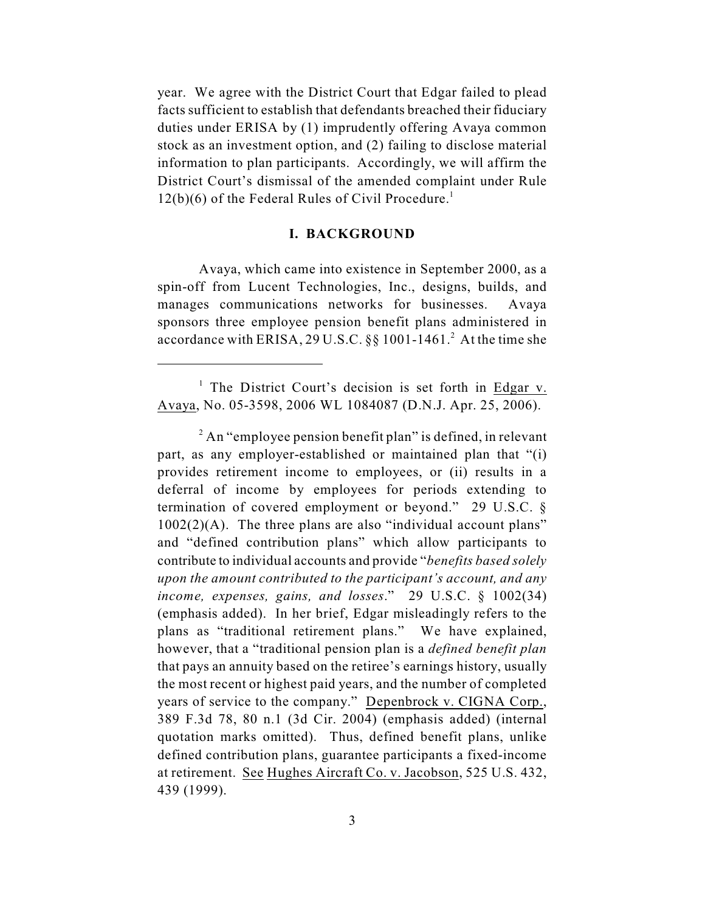year. We agree with the District Court that Edgar failed to plead facts sufficient to establish that defendants breached their fiduciary duties under ERISA by (1) imprudently offering Avaya common stock as an investment option, and (2) failing to disclose material information to plan participants. Accordingly, we will affirm the District Court's dismissal of the amended complaint under Rule  $12(b)(6)$  of the Federal Rules of Civil Procedure.<sup>1</sup>

## **I. BACKGROUND**

Avaya, which came into existence in September 2000, as a spin-off from Lucent Technologies, Inc., designs, builds, and manages communications networks for businesses. Avaya sponsors three employee pension benefit plans administered in accordance with ERISA, 29 U.S.C.  $\S$ § 1001-1461.<sup>2</sup> At the time she

<sup>&</sup>lt;sup>1</sup> The District Court's decision is set forth in Edgar v. Avaya, No. 05-3598, 2006 WL 1084087 (D.N.J. Apr. 25, 2006).

 $2^2$  An "employee pension benefit plan" is defined, in relevant part, as any employer-established or maintained plan that "(i) provides retirement income to employees, or (ii) results in a deferral of income by employees for periods extending to termination of covered employment or beyond." 29 U.S.C. §  $1002(2)(A)$ . The three plans are also "individual account plans" and "defined contribution plans" which allow participants to contribute to individual accounts and provide "*benefits based solely upon the amount contributed to the participant's account, and any income, expenses, gains, and losses*." 29 U.S.C. § 1002(34) (emphasis added). In her brief, Edgar misleadingly refers to the plans as "traditional retirement plans." We have explained, however, that a "traditional pension plan is a *defined benefit plan* that pays an annuity based on the retiree's earnings history, usually the most recent or highest paid years, and the number of completed years of service to the company." Depenbrock v. CIGNA Corp., 389 F.3d 78, 80 n.1 (3d Cir. 2004) (emphasis added) (internal quotation marks omitted). Thus, defined benefit plans, unlike defined contribution plans, guarantee participants a fixed-income at retirement. See Hughes Aircraft Co. v. Jacobson, 525 U.S. 432, 439 (1999).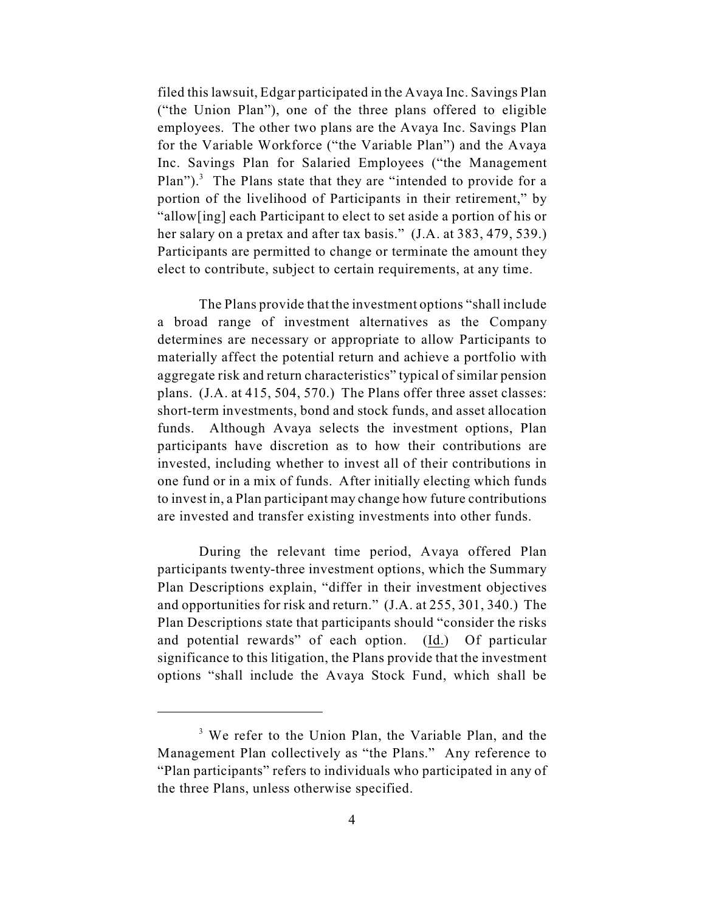filed this lawsuit, Edgar participated in the Avaya Inc. Savings Plan ("the Union Plan"), one of the three plans offered to eligible employees. The other two plans are the Avaya Inc. Savings Plan for the Variable Workforce ("the Variable Plan") and the Avaya Inc. Savings Plan for Salaried Employees ("the Management Plan").<sup>3</sup> The Plans state that they are "intended to provide for a portion of the livelihood of Participants in their retirement," by "allow[ing] each Participant to elect to set aside a portion of his or her salary on a pretax and after tax basis." (J.A. at 383, 479, 539.) Participants are permitted to change or terminate the amount they elect to contribute, subject to certain requirements, at any time.

The Plans provide that the investment options "shall include a broad range of investment alternatives as the Company determines are necessary or appropriate to allow Participants to materially affect the potential return and achieve a portfolio with aggregate risk and return characteristics" typical of similar pension plans. (J.A. at 415, 504, 570.) The Plans offer three asset classes: short-term investments, bond and stock funds, and asset allocation funds. Although Avaya selects the investment options, Plan participants have discretion as to how their contributions are invested, including whether to invest all of their contributions in one fund or in a mix of funds. After initially electing which funds to invest in, a Plan participant may change how future contributions are invested and transfer existing investments into other funds.

During the relevant time period, Avaya offered Plan participants twenty-three investment options, which the Summary Plan Descriptions explain, "differ in their investment objectives and opportunities for risk and return." (J.A. at 255, 301, 340.) The Plan Descriptions state that participants should "consider the risks and potential rewards" of each option. (Id.) Of particular significance to this litigation, the Plans provide that the investment options "shall include the Avaya Stock Fund, which shall be

 $3$  We refer to the Union Plan, the Variable Plan, and the Management Plan collectively as "the Plans." Any reference to "Plan participants" refers to individuals who participated in any of the three Plans, unless otherwise specified.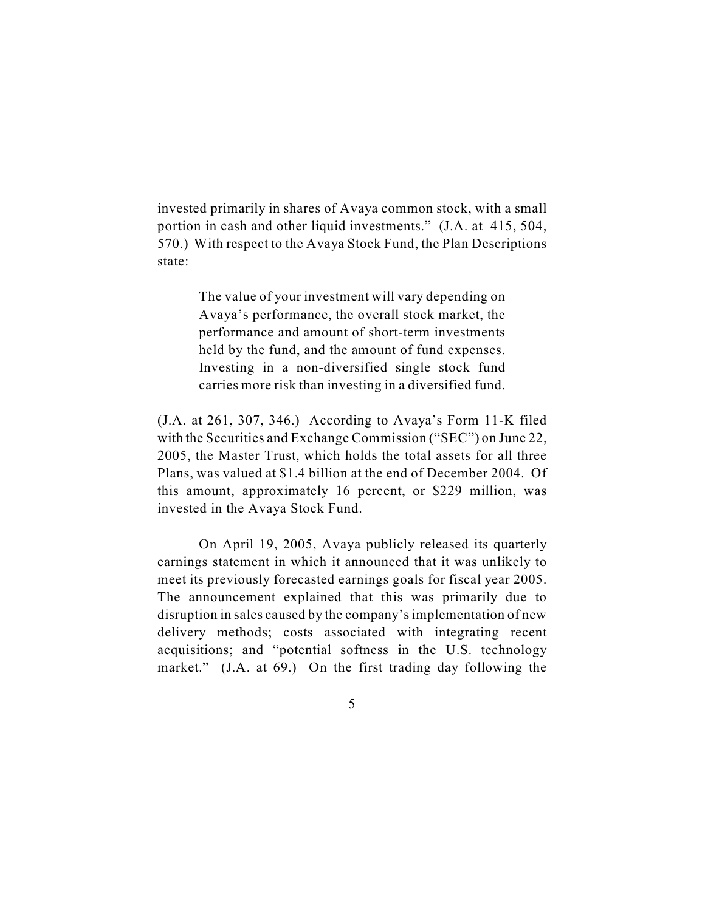invested primarily in shares of Avaya common stock, with a small portion in cash and other liquid investments." (J.A. at 415, 504, 570.) With respect to the Avaya Stock Fund, the Plan Descriptions state:

> The value of your investment will vary depending on Avaya's performance, the overall stock market, the performance and amount of short-term investments held by the fund, and the amount of fund expenses. Investing in a non-diversified single stock fund carries more risk than investing in a diversified fund.

(J.A. at 261, 307, 346.) According to Avaya's Form 11-K filed with the Securities and Exchange Commission ("SEC") on June 22, 2005, the Master Trust, which holds the total assets for all three Plans, was valued at \$1.4 billion at the end of December 2004. Of this amount, approximately 16 percent, or \$229 million, was invested in the Avaya Stock Fund.

On April 19, 2005, Avaya publicly released its quarterly earnings statement in which it announced that it was unlikely to meet its previously forecasted earnings goals for fiscal year 2005. The announcement explained that this was primarily due to disruption in sales caused by the company's implementation of new delivery methods; costs associated with integrating recent acquisitions; and "potential softness in the U.S. technology market." (J.A. at 69.) On the first trading day following the

5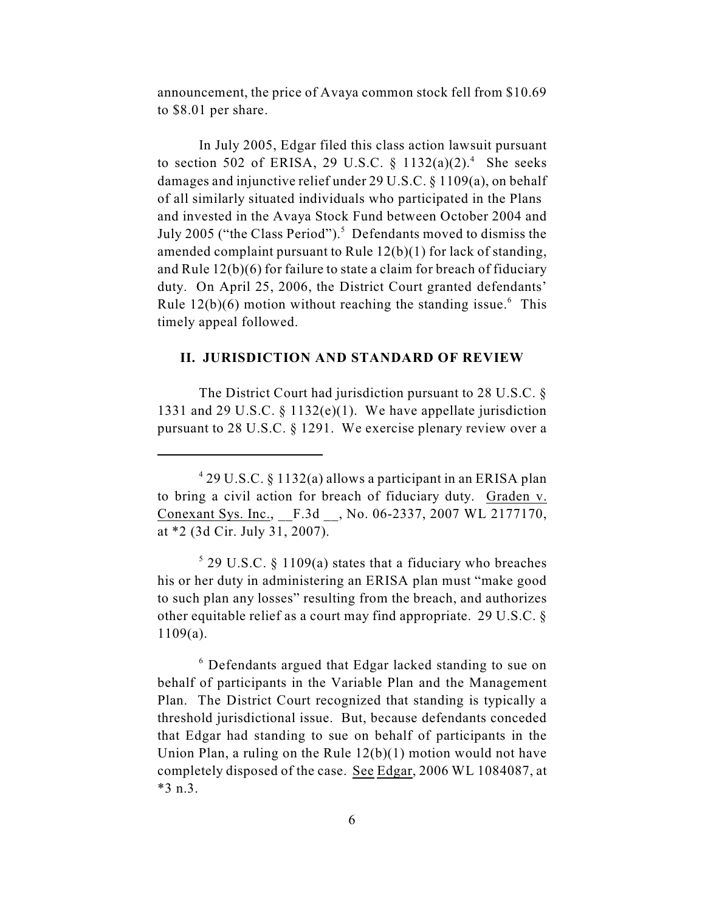announcement, the price of Avaya common stock fell from \$10.69 to \$8.01 per share.

In July 2005, Edgar filed this class action lawsuit pursuant to section 502 of ERISA, 29 U.S.C.  $\S$  1132(a)(2).<sup>4</sup> She seeks damages and injunctive relief under 29 U.S.C. § 1109(a), on behalf of all similarly situated individuals who participated in the Plans and invested in the Avaya Stock Fund between October 2004 and July 2005 ("the Class Period").<sup>5</sup> Defendants moved to dismiss the amended complaint pursuant to Rule 12(b)(1) for lack of standing, and Rule 12(b)(6) for failure to state a claim for breach of fiduciary duty. On April 25, 2006, the District Court granted defendants' Rule  $12(b)(6)$  motion without reaching the standing issue.<sup>6</sup> This timely appeal followed.

## **II. JURISDICTION AND STANDARD OF REVIEW**

The District Court had jurisdiction pursuant to 28 U.S.C. § 1331 and 29 U.S.C. § 1132(e)(1). We have appellate jurisdiction pursuant to 28 U.S.C. § 1291. We exercise plenary review over a

 $429$  U.S.C. § 1132(a) allows a participant in an ERISA plan to bring a civil action for breach of fiduciary duty. Graden v. Conexant Sys. Inc., \_\_F.3d \_\_, No. 06-2337, 2007 WL 2177170, at \*2 (3d Cir. July 31, 2007).

 $5$  29 U.S.C. § 1109(a) states that a fiduciary who breaches his or her duty in administering an ERISA plan must "make good to such plan any losses" resulting from the breach, and authorizes other equitable relief as a court may find appropriate. 29 U.S.C. § 1109(a).

 $6$  Defendants argued that Edgar lacked standing to sue on behalf of participants in the Variable Plan and the Management Plan. The District Court recognized that standing is typically a threshold jurisdictional issue. But, because defendants conceded that Edgar had standing to sue on behalf of participants in the Union Plan, a ruling on the Rule 12(b)(1) motion would not have completely disposed of the case. See Edgar, 2006 WL 1084087, at \*3 n.3.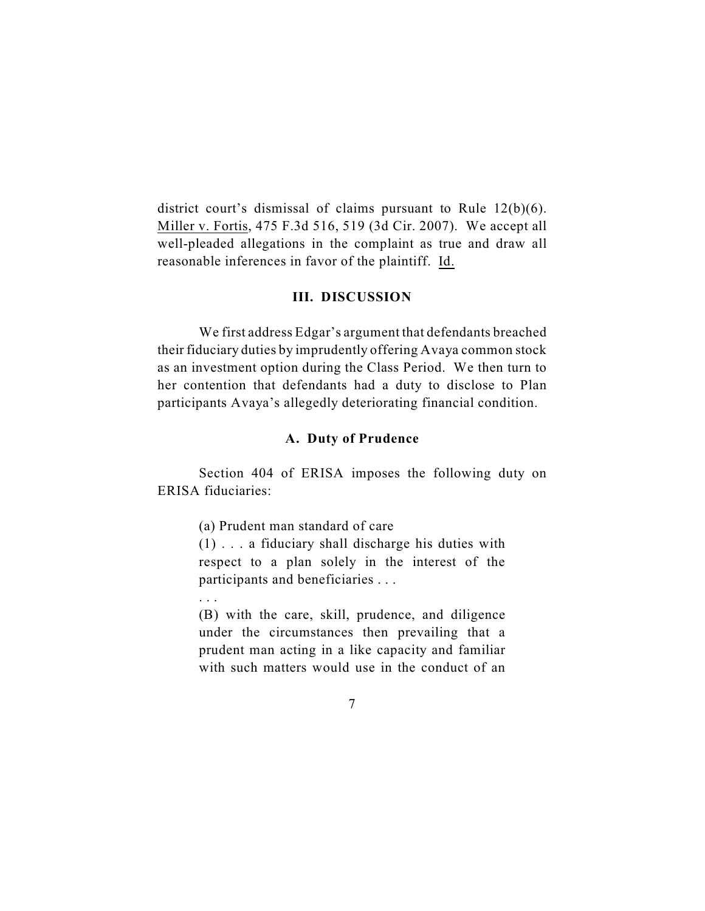district court's dismissal of claims pursuant to Rule 12(b)(6). Miller v. Fortis, 475 F.3d 516, 519 (3d Cir. 2007). We accept all well-pleaded allegations in the complaint as true and draw all reasonable inferences in favor of the plaintiff. Id.

# **III. DISCUSSION**

We first address Edgar's argument that defendants breached their fiduciary duties by imprudently offering Avaya common stock as an investment option during the Class Period. We then turn to her contention that defendants had a duty to disclose to Plan participants Avaya's allegedly deteriorating financial condition.

#### **A. Duty of Prudence**

Section 404 of ERISA imposes the following duty on ERISA fiduciaries:

(a) Prudent man standard of care

(1) . . . a fiduciary shall discharge his duties with respect to a plan solely in the interest of the participants and beneficiaries . . .

. . .

(B) with the care, skill, prudence, and diligence under the circumstances then prevailing that a prudent man acting in a like capacity and familiar with such matters would use in the conduct of an

7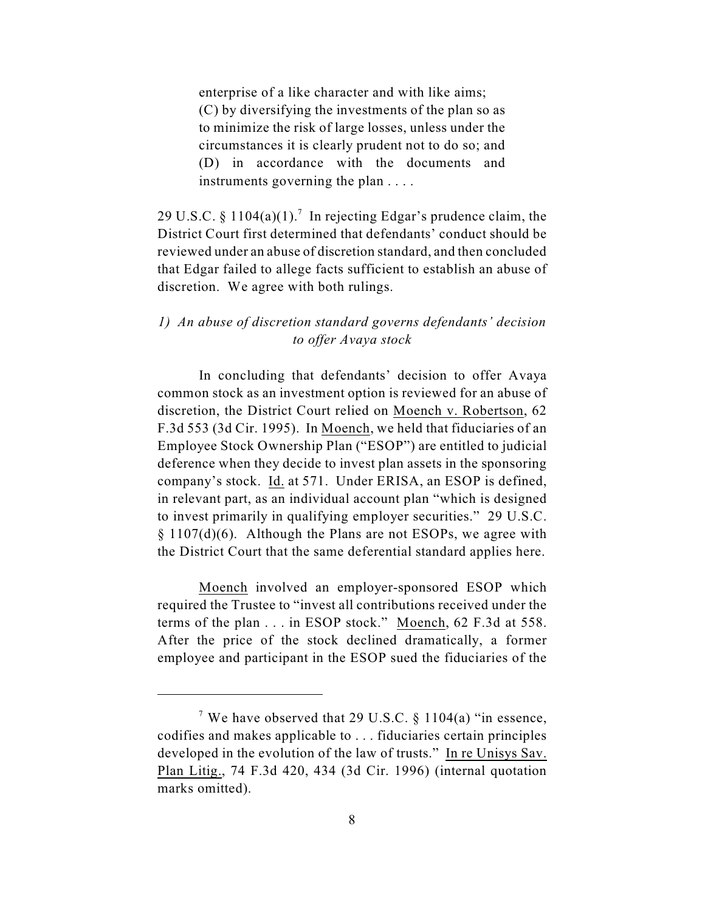enterprise of a like character and with like aims; (C) by diversifying the investments of the plan so as to minimize the risk of large losses, unless under the circumstances it is clearly prudent not to do so; and (D) in accordance with the documents and instruments governing the plan . . . .

29 U.S.C. § 1104(a)(1).<sup>7</sup> In rejecting Edgar's prudence claim, the District Court first determined that defendants' conduct should be reviewed under an abuse of discretion standard, and then concluded that Edgar failed to allege facts sufficient to establish an abuse of discretion. We agree with both rulings.

## *1) An abuse of discretion standard governs defendants' decision to offer Avaya stock*

In concluding that defendants' decision to offer Avaya common stock as an investment option is reviewed for an abuse of discretion, the District Court relied on Moench v. Robertson, 62 F.3d 553 (3d Cir. 1995). In Moench, we held that fiduciaries of an Employee Stock Ownership Plan ("ESOP") are entitled to judicial deference when they decide to invest plan assets in the sponsoring company's stock. Id. at 571. Under ERISA, an ESOP is defined, in relevant part, as an individual account plan "which is designed to invest primarily in qualifying employer securities." 29 U.S.C. § 1107(d)(6). Although the Plans are not ESOPs, we agree with the District Court that the same deferential standard applies here.

Moench involved an employer-sponsored ESOP which required the Trustee to "invest all contributions received under the terms of the plan . . . in ESOP stock." Moench, 62 F.3d at 558. After the price of the stock declined dramatically, a former employee and participant in the ESOP sued the fiduciaries of the

<sup>&</sup>lt;sup>7</sup> We have observed that 29 U.S.C.  $\S$  1104(a) "in essence, codifies and makes applicable to . . . fiduciaries certain principles developed in the evolution of the law of trusts." In re Unisys Sav. Plan Litig., 74 F.3d 420, 434 (3d Cir. 1996) (internal quotation marks omitted).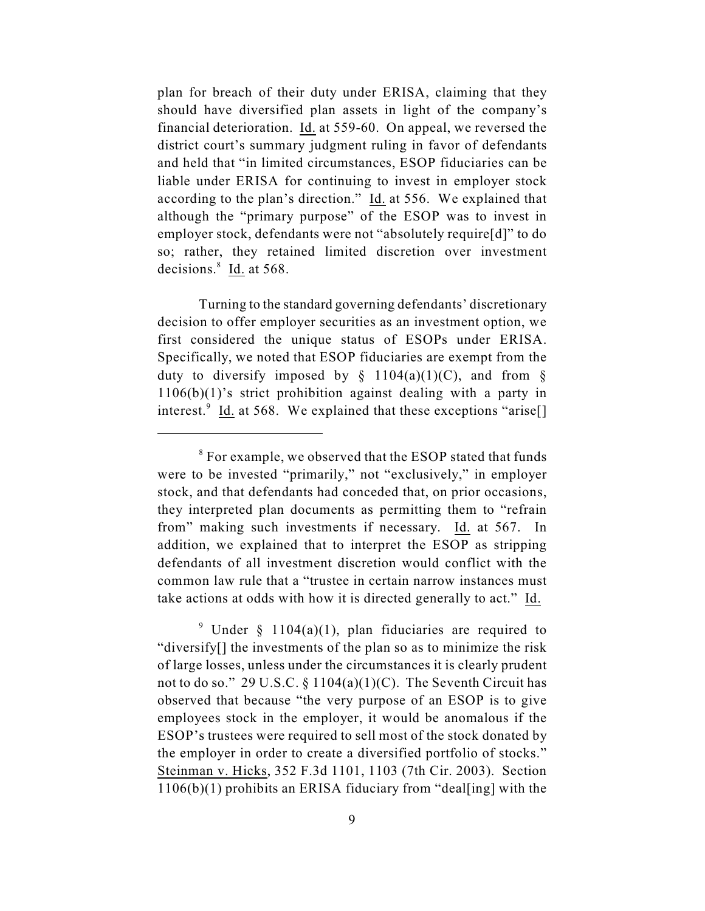plan for breach of their duty under ERISA, claiming that they should have diversified plan assets in light of the company's financial deterioration. Id. at 559-60. On appeal, we reversed the district court's summary judgment ruling in favor of defendants and held that "in limited circumstances, ESOP fiduciaries can be liable under ERISA for continuing to invest in employer stock according to the plan's direction." Id. at 556. We explained that although the "primary purpose" of the ESOP was to invest in employer stock, defendants were not "absolutely require[d]" to do so; rather, they retained limited discretion over investment decisions. $\frac{8}{1}$  Id. at 568.

Turning to the standard governing defendants' discretionary decision to offer employer securities as an investment option, we first considered the unique status of ESOPs under ERISA. Specifically, we noted that ESOP fiduciaries are exempt from the duty to diversify imposed by  $\S$  1104(a)(1)(C), and from  $\S$ 1106(b)(1)'s strict prohibition against dealing with a party in interest.<sup>9</sup> Id. at 568. We explained that these exceptions "arise.

<sup>&</sup>lt;sup>8</sup> For example, we observed that the ESOP stated that funds were to be invested "primarily," not "exclusively," in employer stock, and that defendants had conceded that, on prior occasions, they interpreted plan documents as permitting them to "refrain from" making such investments if necessary. Id. at 567. In addition, we explained that to interpret the ESOP as stripping defendants of all investment discretion would conflict with the common law rule that a "trustee in certain narrow instances must take actions at odds with how it is directed generally to act." Id.

<sup>&</sup>lt;sup>9</sup> Under § 1104(a)(1), plan fiduciaries are required to "diversify[] the investments of the plan so as to minimize the risk of large losses, unless under the circumstances it is clearly prudent not to do so." 29 U.S.C.  $\S 1104(a)(1)(C)$ . The Seventh Circuit has observed that because "the very purpose of an ESOP is to give employees stock in the employer, it would be anomalous if the ESOP's trustees were required to sell most of the stock donated by the employer in order to create a diversified portfolio of stocks." Steinman v. Hicks, 352 F.3d 1101, 1103 (7th Cir. 2003). Section  $1106(b)(1)$  prohibits an ERISA fiduciary from "deal[ing] with the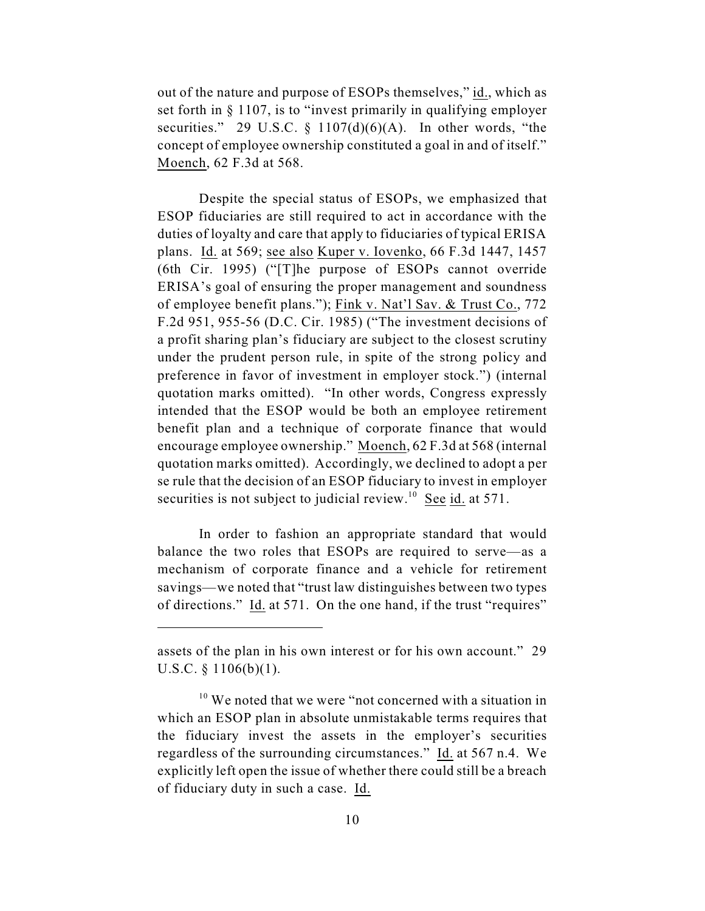out of the nature and purpose of ESOPs themselves," id., which as set forth in § 1107, is to "invest primarily in qualifying employer securities." 29 U.S.C.  $\frac{107(d)(6)(A)}{A}$ . In other words, "the concept of employee ownership constituted a goal in and of itself." Moench, 62 F.3d at 568.

Despite the special status of ESOPs, we emphasized that ESOP fiduciaries are still required to act in accordance with the duties of loyalty and care that apply to fiduciaries of typical ERISA plans. Id. at 569; see also Kuper v. Iovenko, 66 F.3d 1447, 1457 (6th Cir. 1995) ("[T]he purpose of ESOPs cannot override ERISA's goal of ensuring the proper management and soundness of employee benefit plans."); Fink v. Nat'l Sav. & Trust Co., 772 F.2d 951, 955-56 (D.C. Cir. 1985) ("The investment decisions of a profit sharing plan's fiduciary are subject to the closest scrutiny under the prudent person rule, in spite of the strong policy and preference in favor of investment in employer stock.") (internal quotation marks omitted). "In other words, Congress expressly intended that the ESOP would be both an employee retirement benefit plan and a technique of corporate finance that would encourage employee ownership." Moench, 62 F.3d at 568 (internal quotation marks omitted). Accordingly, we declined to adopt a per se rule that the decision of an ESOP fiduciary to invest in employer securities is not subject to judicial review.<sup>10</sup> See id. at 571.

In order to fashion an appropriate standard that would balance the two roles that ESOPs are required to serve—as a mechanism of corporate finance and a vehicle for retirement savings—we noted that "trust law distinguishes between two types of directions." Id. at 571. On the one hand, if the trust "requires"

assets of the plan in his own interest or for his own account." 29 U.S.C. § 1106(b)(1).

 $10$  We noted that we were "not concerned with a situation in which an ESOP plan in absolute unmistakable terms requires that the fiduciary invest the assets in the employer's securities regardless of the surrounding circumstances." Id. at 567 n.4. We explicitly left open the issue of whether there could still be a breach of fiduciary duty in such a case. Id.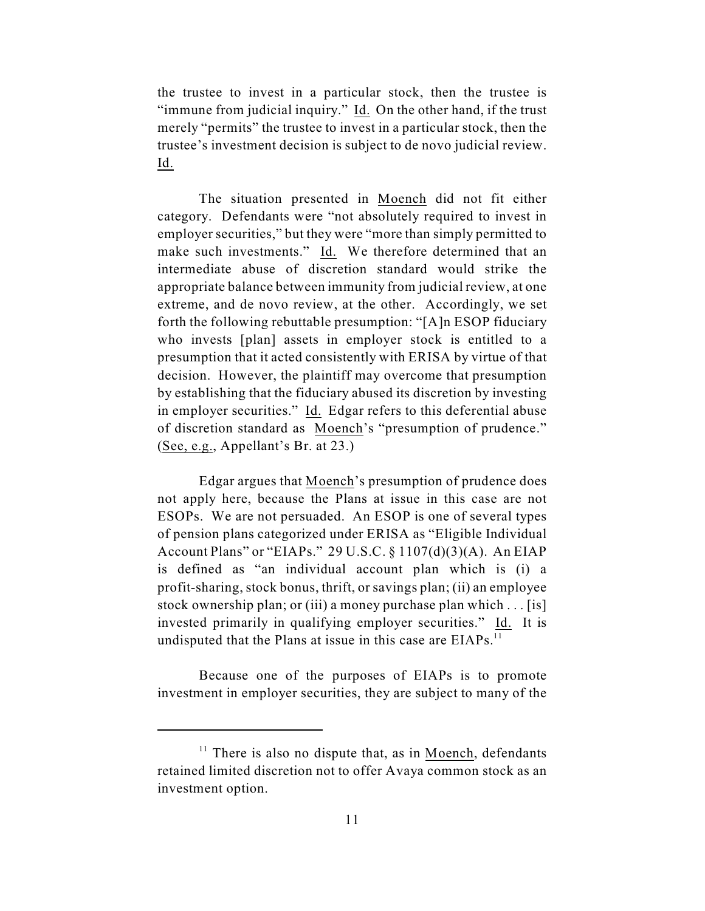the trustee to invest in a particular stock, then the trustee is "immune from judicial inquiry." Id. On the other hand, if the trust merely "permits" the trustee to invest in a particular stock, then the trustee's investment decision is subject to de novo judicial review. Id.

The situation presented in Moench did not fit either category. Defendants were "not absolutely required to invest in employer securities," but they were "more than simply permitted to make such investments." Id. We therefore determined that an intermediate abuse of discretion standard would strike the appropriate balance between immunity from judicial review, at one extreme, and de novo review, at the other. Accordingly, we set forth the following rebuttable presumption: "[A]n ESOP fiduciary who invests [plan] assets in employer stock is entitled to a presumption that it acted consistently with ERISA by virtue of that decision. However, the plaintiff may overcome that presumption by establishing that the fiduciary abused its discretion by investing in employer securities." Id. Edgar refers to this deferential abuse of discretion standard as Moench's "presumption of prudence." (See, e.g., Appellant's Br. at 23.)

Edgar argues that Moench's presumption of prudence does not apply here, because the Plans at issue in this case are not ESOPs. We are not persuaded. An ESOP is one of several types of pension plans categorized under ERISA as "Eligible Individual Account Plans" or "EIAPs." 29 U.S.C.  $\S 1107(d)(3)(A)$ . An EIAP is defined as "an individual account plan which is (i) a profit-sharing, stock bonus, thrift, or savings plan; (ii) an employee stock ownership plan; or (iii) a money purchase plan which . . . [is] invested primarily in qualifying employer securities." Id. It is undisputed that the Plans at issue in this case are EIAPs.<sup>11</sup>

Because one of the purposes of EIAPs is to promote investment in employer securities, they are subject to many of the

 $11$  There is also no dispute that, as in Moench, defendants retained limited discretion not to offer Avaya common stock as an investment option.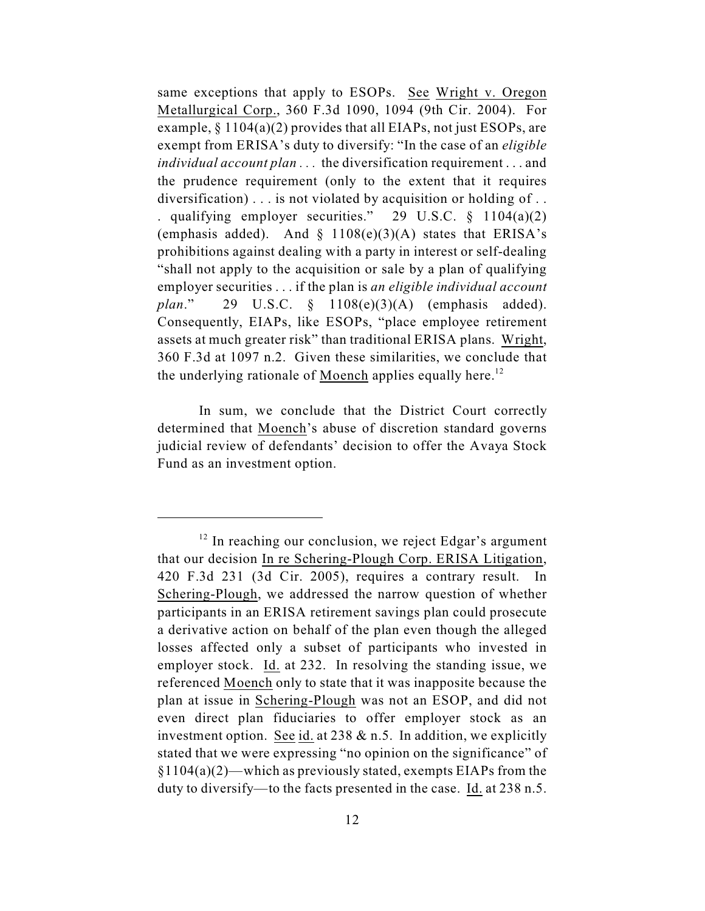same exceptions that apply to ESOPs. See Wright v. Oregon Metallurgical Corp., 360 F.3d 1090, 1094 (9th Cir. 2004). For example,  $\S 1104(a)(2)$  provides that all EIAPs, not just ESOPs, are exempt from ERISA's duty to diversify: "In the case of an *eligible individual account plan . . .* the diversification requirement . . . and the prudence requirement (only to the extent that it requires diversification) . . . is not violated by acquisition or holding of . . . qualifying employer securities." 29 U.S.C.  $\S$  1104(a)(2) (emphasis added). And  $\S$  1108(e)(3)(A) states that ERISA's prohibitions against dealing with a party in interest or self-dealing "shall not apply to the acquisition or sale by a plan of qualifying employer securities . . . if the plan is *an eligible individual account plan*." 29 U.S.C. § 1108(e)(3)(A) (emphasis added). Consequently, EIAPs, like ESOPs, "place employee retirement assets at much greater risk" than traditional ERISA plans. Wright, 360 F.3d at 1097 n.2. Given these similarities, we conclude that the underlying rationale of Moench applies equally here.<sup>12</sup>

In sum, we conclude that the District Court correctly determined that Moench's abuse of discretion standard governs judicial review of defendants' decision to offer the Avaya Stock Fund as an investment option.

 $12$  In reaching our conclusion, we reject Edgar's argument that our decision In re Schering-Plough Corp. ERISA Litigation, 420 F.3d 231 (3d Cir. 2005), requires a contrary result. In Schering-Plough, we addressed the narrow question of whether participants in an ERISA retirement savings plan could prosecute a derivative action on behalf of the plan even though the alleged losses affected only a subset of participants who invested in employer stock. Id. at 232. In resolving the standing issue, we referenced Moench only to state that it was inapposite because the plan at issue in Schering-Plough was not an ESOP, and did not even direct plan fiduciaries to offer employer stock as an investment option. See id. at  $238 \& n.5$ . In addition, we explicitly stated that we were expressing "no opinion on the significance" of  $§1104(a)(2)$ —which as previously stated, exempts EIAPs from the duty to diversify—to the facts presented in the case. Id. at 238 n.5.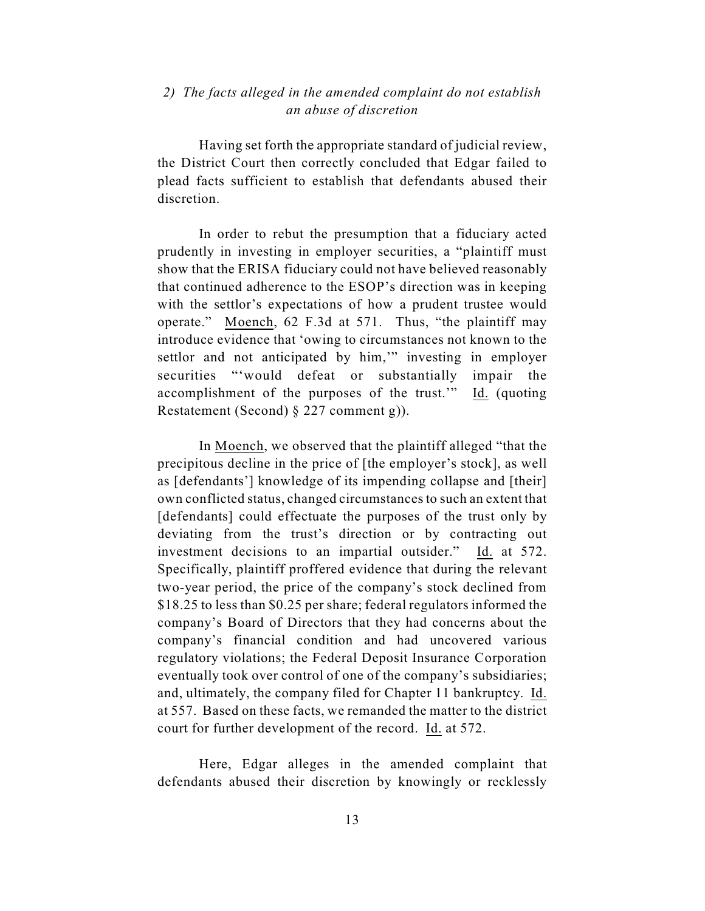# *2) The facts alleged in the amended complaint do not establish an abuse of discretion*

Having set forth the appropriate standard of judicial review, the District Court then correctly concluded that Edgar failed to plead facts sufficient to establish that defendants abused their discretion.

In order to rebut the presumption that a fiduciary acted prudently in investing in employer securities, a "plaintiff must show that the ERISA fiduciary could not have believed reasonably that continued adherence to the ESOP's direction was in keeping with the settlor's expectations of how a prudent trustee would operate." Moench, 62 F.3d at 571. Thus, "the plaintiff may introduce evidence that 'owing to circumstances not known to the settlor and not anticipated by him," investing in employer securities "'would defeat or substantially impair the accomplishment of the purposes of the trust.'" Id. (quoting Restatement (Second) § 227 comment g)).

In Moench, we observed that the plaintiff alleged "that the precipitous decline in the price of [the employer's stock], as well as [defendants'] knowledge of its impending collapse and [their] own conflicted status, changed circumstances to such an extent that [defendants] could effectuate the purposes of the trust only by deviating from the trust's direction or by contracting out investment decisions to an impartial outsider." Id. at 572. Specifically, plaintiff proffered evidence that during the relevant two-year period, the price of the company's stock declined from \$18.25 to less than \$0.25 per share; federal regulators informed the company's Board of Directors that they had concerns about the company's financial condition and had uncovered various regulatory violations; the Federal Deposit Insurance Corporation eventually took over control of one of the company's subsidiaries; and, ultimately, the company filed for Chapter 11 bankruptcy. Id. at 557. Based on these facts, we remanded the matter to the district court for further development of the record.Id. at 572.

Here, Edgar alleges in the amended complaint that defendants abused their discretion by knowingly or recklessly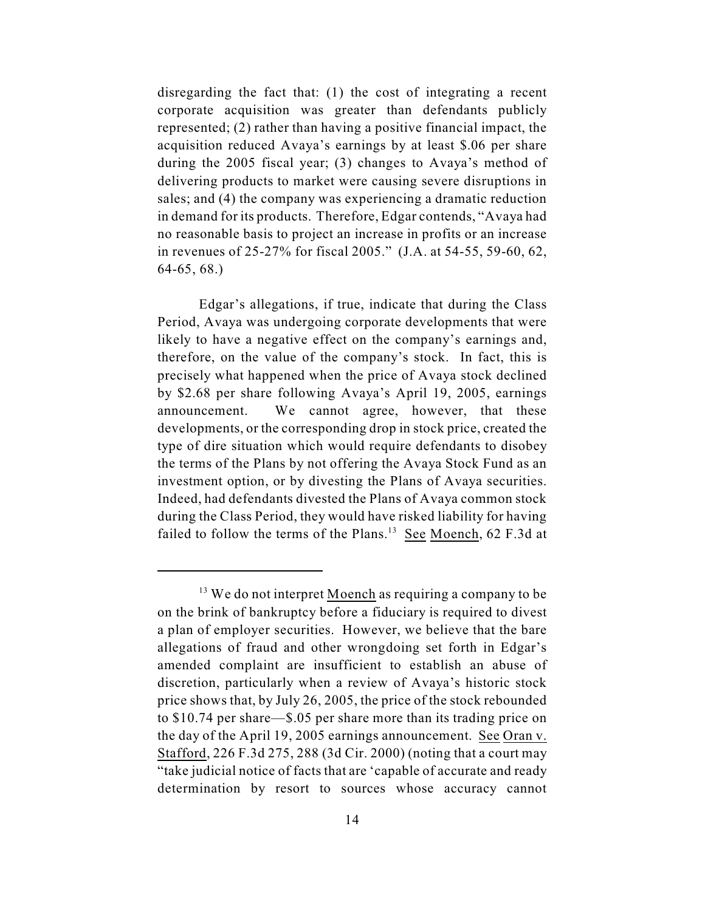disregarding the fact that: (1) the cost of integrating a recent corporate acquisition was greater than defendants publicly represented; (2) rather than having a positive financial impact, the acquisition reduced Avaya's earnings by at least \$.06 per share during the 2005 fiscal year; (3) changes to Avaya's method of delivering products to market were causing severe disruptions in sales; and (4) the company was experiencing a dramatic reduction in demand for its products. Therefore, Edgar contends, "Avaya had no reasonable basis to project an increase in profits or an increase in revenues of 25-27% for fiscal 2005." (J.A. at 54-55, 59-60, 62, 64-65, 68.)

Edgar's allegations, if true, indicate that during the Class Period, Avaya was undergoing corporate developments that were likely to have a negative effect on the company's earnings and, therefore, on the value of the company's stock. In fact, this is precisely what happened when the price of Avaya stock declined by \$2.68 per share following Avaya's April 19, 2005, earnings announcement. We cannot agree, however, that these developments, or the corresponding drop in stock price, created the type of dire situation which would require defendants to disobey the terms of the Plans by not offering the Avaya Stock Fund as an investment option, or by divesting the Plans of Avaya securities. Indeed, had defendants divested the Plans of Avaya common stock during the Class Period, they would have risked liability for having failed to follow the terms of the Plans.<sup>13</sup> See Moench, 62 F.3d at

 $13$  We do not interpret Moench as requiring a company to be on the brink of bankruptcy before a fiduciary is required to divest a plan of employer securities. However, we believe that the bare allegations of fraud and other wrongdoing set forth in Edgar's amended complaint are insufficient to establish an abuse of discretion, particularly when a review of Avaya's historic stock price shows that, by July 26, 2005, the price of the stock rebounded to \$10.74 per share—\$.05 per share more than its trading price on the day of the April 19, 2005 earnings announcement. See Oran v. Stafford, 226 F.3d 275, 288 (3d Cir. 2000) (noting that a court may "take judicial notice of facts that are 'capable of accurate and ready determination by resort to sources whose accuracy cannot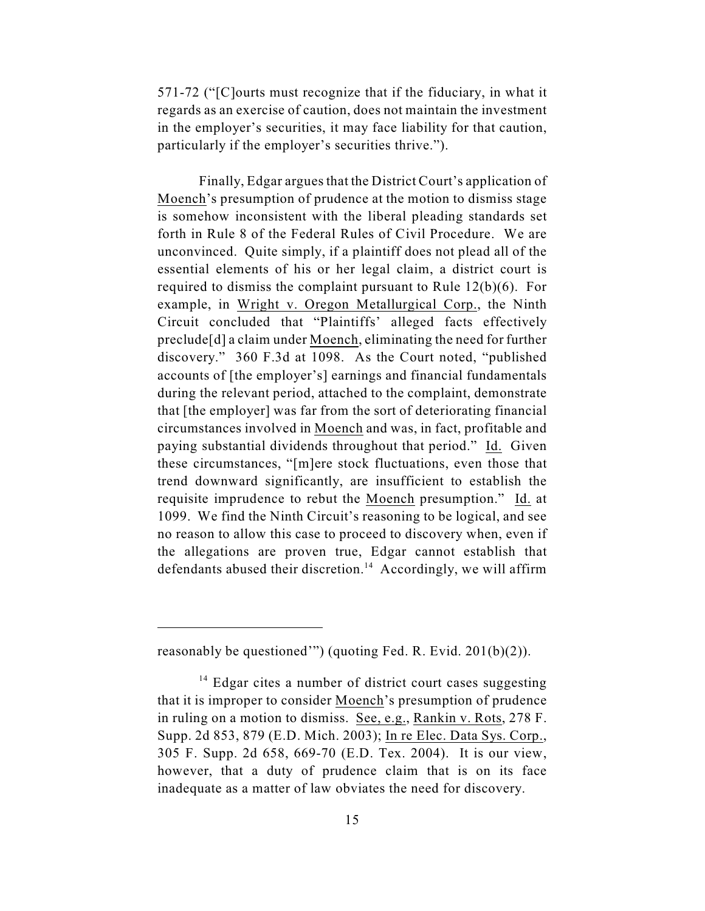571-72 ("[C]ourts must recognize that if the fiduciary, in what it regards as an exercise of caution, does not maintain the investment in the employer's securities, it may face liability for that caution, particularly if the employer's securities thrive.").

Finally, Edgar argues that the District Court's application of Moench's presumption of prudence at the motion to dismiss stage is somehow inconsistent with the liberal pleading standards set forth in Rule 8 of the Federal Rules of Civil Procedure. We are unconvinced. Quite simply, if a plaintiff does not plead all of the essential elements of his or her legal claim, a district court is required to dismiss the complaint pursuant to Rule 12(b)(6). For example, in Wright v. Oregon Metallurgical Corp., the Ninth Circuit concluded that "Plaintiffs' alleged facts effectively preclude[d] a claim under Moench, eliminating the need for further discovery." 360 F.3d at 1098. As the Court noted, "published accounts of [the employer's] earnings and financial fundamentals during the relevant period, attached to the complaint, demonstrate that [the employer] was far from the sort of deteriorating financial circumstances involved in Moench and was, in fact, profitable and paying substantial dividends throughout that period." Id. Given these circumstances, "[m]ere stock fluctuations, even those that trend downward significantly, are insufficient to establish the requisite imprudence to rebut the Moench presumption." Id. at 1099. We find the Ninth Circuit's reasoning to be logical, and see no reason to allow this case to proceed to discovery when, even if the allegations are proven true, Edgar cannot establish that defendants abused their discretion.<sup>14</sup> Accordingly, we will affirm

reasonably be questioned'") (quoting Fed. R. Evid. 201(b)(2)).

 $14$  Edgar cites a number of district court cases suggesting that it is improper to consider Moench's presumption of prudence in ruling on a motion to dismiss. See, e.g., Rankin v. Rots, 278 F. Supp. 2d 853, 879 (E.D. Mich. 2003); In re Elec. Data Sys. Corp., 305 F. Supp. 2d 658, 669-70 (E.D. Tex. 2004). It is our view, however, that a duty of prudence claim that is on its face inadequate as a matter of law obviates the need for discovery.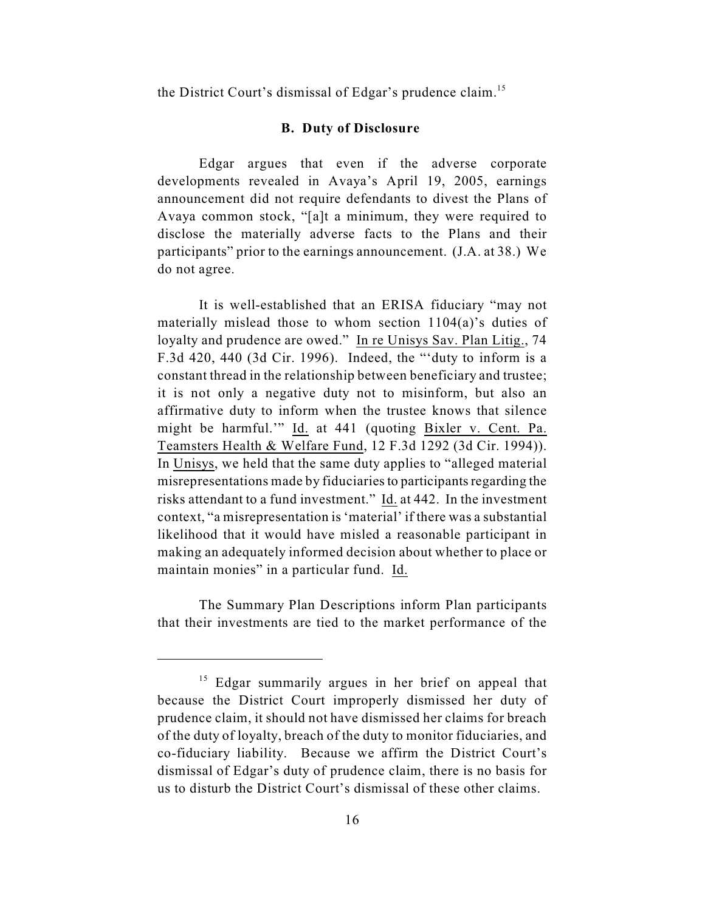the District Court's dismissal of Edgar's prudence claim.<sup>15</sup>

#### **B. Duty of Disclosure**

Edgar argues that even if the adverse corporate developments revealed in Avaya's April 19, 2005, earnings announcement did not require defendants to divest the Plans of Avaya common stock, "[a]t a minimum, they were required to disclose the materially adverse facts to the Plans and their participants" prior to the earnings announcement. (J.A. at 38.) We do not agree.

It is well-established that an ERISA fiduciary "may not materially mislead those to whom section 1104(a)'s duties of loyalty and prudence are owed." In re Unisys Sav. Plan Litig., 74 F.3d 420, 440 (3d Cir. 1996). Indeed, the "'duty to inform is a constant thread in the relationship between beneficiary and trustee; it is not only a negative duty not to misinform, but also an affirmative duty to inform when the trustee knows that silence might be harmful.'" Id. at 441 (quoting Bixler v. Cent. Pa. Teamsters Health & Welfare Fund, 12 F.3d 1292 (3d Cir. 1994)). In Unisys, we held that the same duty applies to "alleged material misrepresentations made by fiduciaries to participants regarding the risks attendant to a fund investment." Id. at 442. In the investment context, "a misrepresentation is 'material' if there was a substantial likelihood that it would have misled a reasonable participant in making an adequately informed decision about whether to place or maintain monies" in a particular fund. Id.

The Summary Plan Descriptions inform Plan participants that their investments are tied to the market performance of the

 $15$  Edgar summarily argues in her brief on appeal that because the District Court improperly dismissed her duty of prudence claim, it should not have dismissed her claims for breach of the duty of loyalty, breach of the duty to monitor fiduciaries, and co-fiduciary liability. Because we affirm the District Court's dismissal of Edgar's duty of prudence claim, there is no basis for us to disturb the District Court's dismissal of these other claims.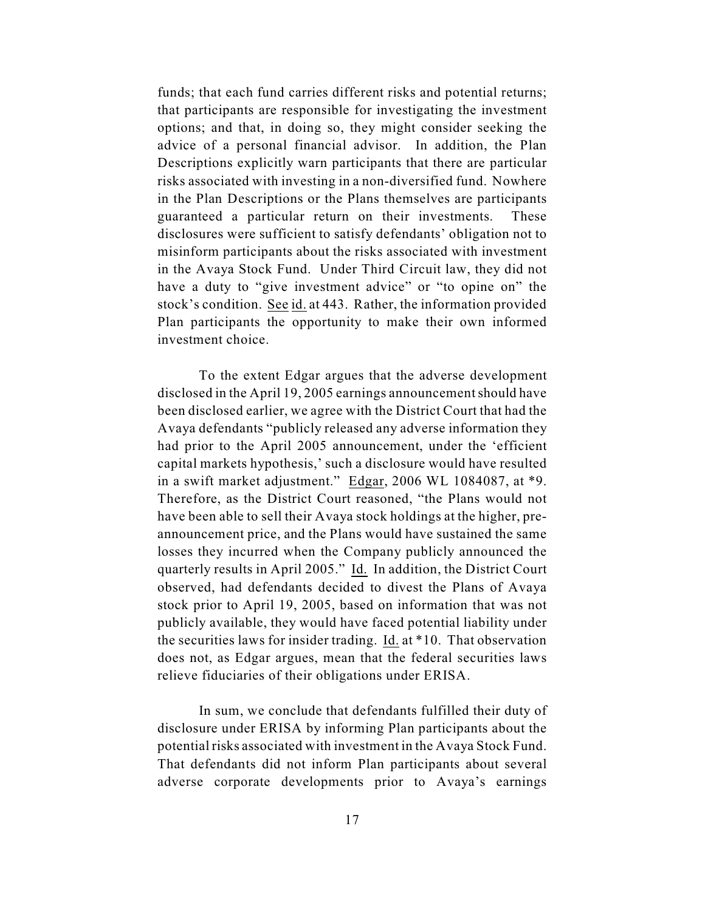funds; that each fund carries different risks and potential returns; that participants are responsible for investigating the investment options; and that, in doing so, they might consider seeking the advice of a personal financial advisor. In addition, the Plan Descriptions explicitly warn participants that there are particular risks associated with investing in a non-diversified fund. Nowhere in the Plan Descriptions or the Plans themselves are participants guaranteed a particular return on their investments. These disclosures were sufficient to satisfy defendants' obligation not to misinform participants about the risks associated with investment in the Avaya Stock Fund. Under Third Circuit law, they did not have a duty to "give investment advice" or "to opine on" the stock's condition. See id. at 443. Rather, the information provided Plan participants the opportunity to make their own informed investment choice.

To the extent Edgar argues that the adverse development disclosed in the April 19, 2005 earnings announcement should have been disclosed earlier, we agree with the District Court that had the Avaya defendants "publicly released any adverse information they had prior to the April 2005 announcement, under the 'efficient capital markets hypothesis,' such a disclosure would have resulted in a swift market adjustment." Edgar, 2006 WL 1084087, at \*9. Therefore, as the District Court reasoned, "the Plans would not have been able to sell their Avaya stock holdings at the higher, preannouncement price, and the Plans would have sustained the same losses they incurred when the Company publicly announced the quarterly results in April 2005." Id. In addition, the District Court observed, had defendants decided to divest the Plans of Avaya stock prior to April 19, 2005, based on information that was not publicly available, they would have faced potential liability under the securities laws for insider trading. Id. at \*10. That observation does not, as Edgar argues, mean that the federal securities laws relieve fiduciaries of their obligations under ERISA.

In sum, we conclude that defendants fulfilled their duty of disclosure under ERISA by informing Plan participants about the potential risks associated with investment in the Avaya Stock Fund. That defendants did not inform Plan participants about several adverse corporate developments prior to Avaya's earnings